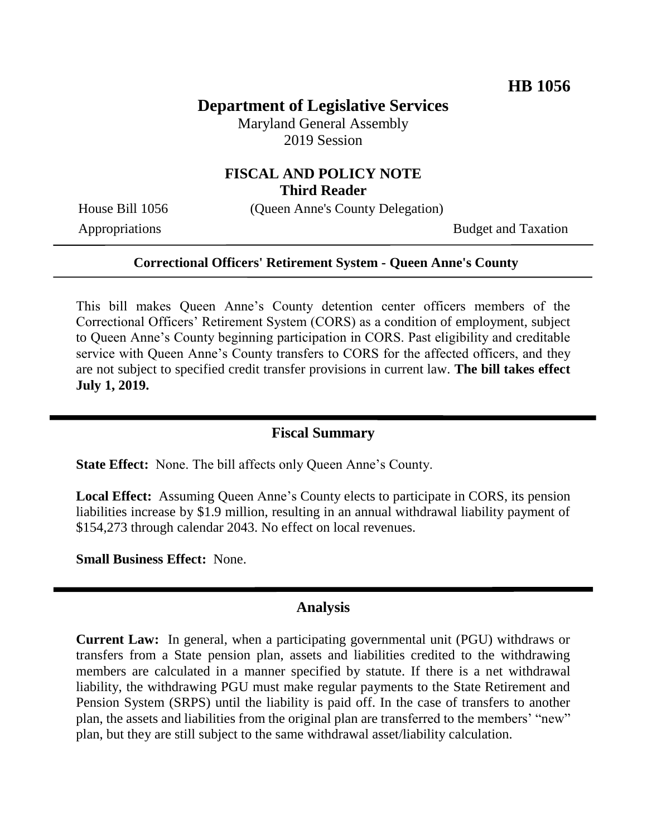## **Department of Legislative Services**

Maryland General Assembly 2019 Session

## **FISCAL AND POLICY NOTE Third Reader**

House Bill 1056 (Queen Anne's County Delegation)

Appropriations Budget and Taxation

#### **Correctional Officers' Retirement System - Queen Anne's County**

This bill makes Queen Anne's County detention center officers members of the Correctional Officers' Retirement System (CORS) as a condition of employment, subject to Queen Anne's County beginning participation in CORS. Past eligibility and creditable service with Queen Anne's County transfers to CORS for the affected officers, and they are not subject to specified credit transfer provisions in current law. **The bill takes effect July 1, 2019.** 

### **Fiscal Summary**

**State Effect:** None. The bill affects only Queen Anne's County.

**Local Effect:** Assuming Queen Anne's County elects to participate in CORS, its pension liabilities increase by \$1.9 million, resulting in an annual withdrawal liability payment of \$154,273 through calendar 2043. No effect on local revenues.

**Small Business Effect:** None.

#### **Analysis**

**Current Law:** In general, when a participating governmental unit (PGU) withdraws or transfers from a State pension plan, assets and liabilities credited to the withdrawing members are calculated in a manner specified by statute. If there is a net withdrawal liability, the withdrawing PGU must make regular payments to the State Retirement and Pension System (SRPS) until the liability is paid off. In the case of transfers to another plan, the assets and liabilities from the original plan are transferred to the members' "new" plan, but they are still subject to the same withdrawal asset/liability calculation.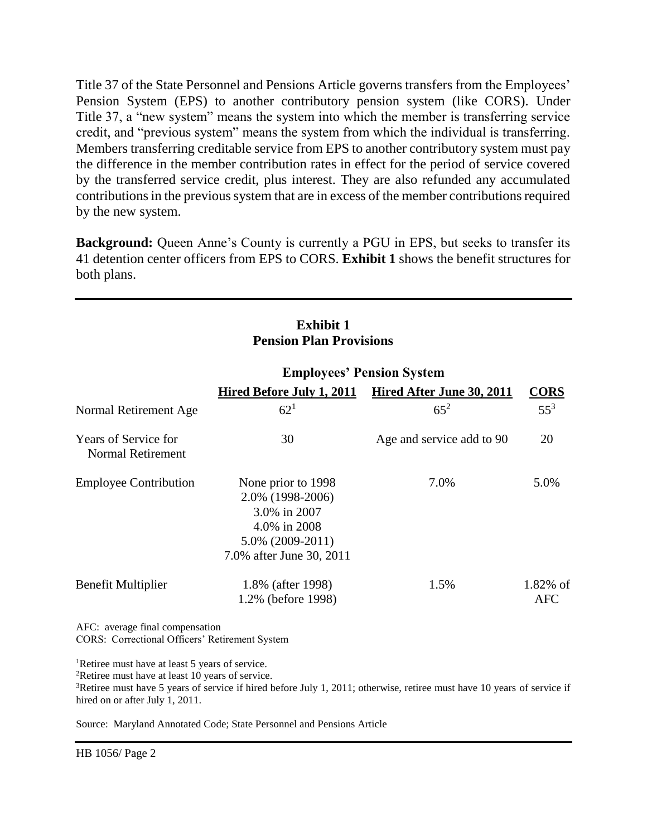Title 37 of the State Personnel and Pensions Article governs transfers from the Employees' Pension System (EPS) to another contributory pension system (like CORS). Under Title 37, a "new system" means the system into which the member is transferring service credit, and "previous system" means the system from which the individual is transferring. Members transferring creditable service from EPS to another contributory system must pay the difference in the member contribution rates in effect for the period of service covered by the transferred service credit, plus interest. They are also refunded any accumulated contributions in the previous system that are in excess of the member contributions required by the new system.

**Background:** Queen Anne's County is currently a PGU in EPS, but seeks to transfer its 41 detention center officers from EPS to CORS. **Exhibit 1** shows the benefit structures for both plans.

### **Exhibit 1 Pension Plan Provisions**

|                                                         | Hired Before July 1, 2011                                                                                                 | Hired After June 30, 2011 | <b>CORS</b>               |
|---------------------------------------------------------|---------------------------------------------------------------------------------------------------------------------------|---------------------------|---------------------------|
| Normal Retirement Age                                   | $62^{1}$                                                                                                                  | $65^{2}$                  | $55^3$                    |
| <b>Years of Service for</b><br><b>Normal Retirement</b> | 30                                                                                                                        | Age and service add to 90 | 20                        |
| <b>Employee Contribution</b>                            | None prior to 1998<br>2.0% (1998-2006)<br>3.0% in 2007<br>4.0% in 2008<br>$5.0\%$ (2009-2011)<br>7.0% after June 30, 2011 | 7.0%                      | 5.0%                      |
| <b>Benefit Multiplier</b>                               | 1.8% (after 1998)<br>1.2% (before 1998)                                                                                   | 1.5%                      | $1.82\%$ of<br><b>AFC</b> |
| AFC: average final compensation                         |                                                                                                                           |                           |                           |

#### **Employees' Pension System**

CORS: Correctional Officers' Retirement System

<sup>1</sup>Retiree must have at least 5 years of service.

<sup>2</sup>Retiree must have at least 10 years of service.

<sup>3</sup>Retiree must have 5 years of service if hired before July 1, 2011; otherwise, retiree must have 10 years of service if hired on or after July 1, 2011.

Source: Maryland Annotated Code; State Personnel and Pensions Article